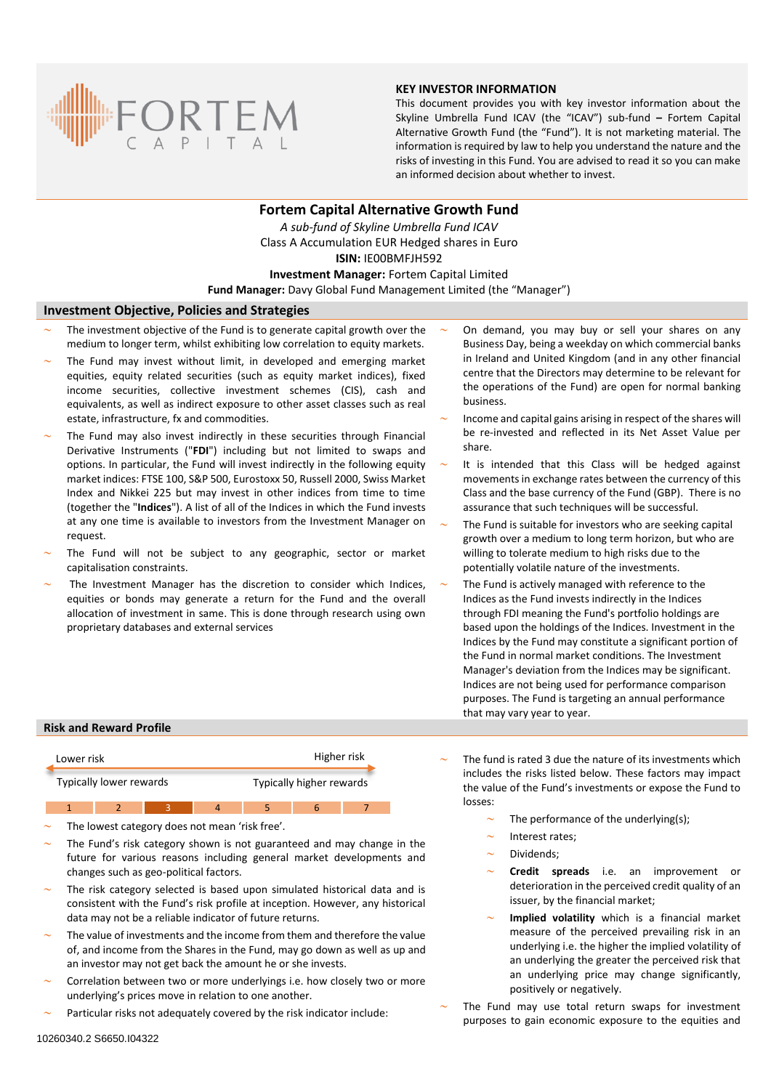

## **KEY INVESTOR INFORMATION**

This document provides you with key investor information about the Skyline Umbrella Fund ICAV (the "ICAV") sub-fund **–** Fortem Capital Alternative Growth Fund (the "Fund"). It is not marketing material. The information is required by law to help you understand the nature and the risks of investing in this Fund. You are advised to read it so you can make an informed decision about whether to invest.

# **Fortem Capital Alternative Growth Fund** *A sub-fund of Skyline Umbrella Fund ICAV* Class A Accumulation EUR Hedged shares in Euro **ISIN:** IE00BMFJH592 **Investment Manager:** Fortem Capital Limited **Fund Manager:** Davy Global Fund Management Limited (the "Manager")

#### **Investment Objective, Policies and Strategies**

- The investment objective of the Fund is to generate capital growth over the medium to longer term, whilst exhibiting low correlation to equity markets.
- The Fund may invest without limit, in developed and emerging market equities, equity related securities (such as equity market indices), fixed income securities, collective investment schemes (CIS), cash and equivalents, as well as indirect exposure to other asset classes such as real estate, infrastructure, fx and commodities.
- The Fund may also invest indirectly in these securities through Financial Derivative Instruments ("**FDI**") including but not limited to swaps and options. In particular, the Fund will invest indirectly in the following equity market indices: FTSE 100, S&P 500, Eurostoxx 50, Russell 2000, Swiss Market Index and Nikkei 225 but may invest in other indices from time to time (together the "**Indices**"). A list of all of the Indices in which the Fund invests at any one time is available to investors from the Investment Manager on request.
- The Fund will not be subject to any geographic, sector or market capitalisation constraints.
- The Investment Manager has the discretion to consider which Indices, equities or bonds may generate a return for the Fund and the overall allocation of investment in same. This is done through research using own proprietary databases and external services
- On demand, you may buy or sell your shares on any Business Day, being a weekday on which commercial banks in Ireland and United Kingdom (and in any other financial centre that the Directors may determine to be relevant for the operations of the Fund) are open for normal banking business.
- Income and capital gains arising in respect of the shares will be re-invested and reflected in its Net Asset Value per share.
- It is intended that this Class will be hedged against movements in exchange rates between the currency of this Class and the base currency of the Fund (GBP). There is no assurance that such techniques will be successful.
- The Fund is suitable for investors who are seeking capital growth over a medium to long term horizon, but who are willing to tolerate medium to high risks due to the potentially volatile nature of the investments.
- The Fund is actively managed with reference to the Indices as the Fund invests indirectly in the Indices through FDI meaning the Fund's portfolio holdings are based upon the holdings of the Indices. Investment in the Indices by the Fund may constitute a significant portion of the Fund in normal market conditions. The Investment Manager's deviation from the Indices may be significant. Indices are not being used for performance comparison purposes. The Fund is targeting an annual performance that may vary year to year.

## **Risk and Reward Profile**

| Lower risk              |  |  | Higher risk              |  |  |
|-------------------------|--|--|--------------------------|--|--|
| Typically lower rewards |  |  | Typically higher rewards |  |  |
|                         |  |  |                          |  |  |

- The lowest category does not mean 'risk free'.
- The Fund's risk category shown is not guaranteed and may change in the future for various reasons including general market developments and changes such as geo-political factors.
- The risk category selected is based upon simulated historical data and is consistent with the Fund's risk profile at inception. However, any historical data may not be a reliable indicator of future returns.
- The value of investments and the income from them and therefore the value of, and income from the Shares in the Fund, may go down as well as up and an investor may not get back the amount he or she invests.
- Correlation between two or more underlyings i.e. how closely two or more underlying's prices move in relation to one another.
- Particular risks not adequately covered by the risk indicator include:
- The fund is rated 3 due the nature of its investments which includes the risks listed below. These factors may impact the value of the Fund's investments or expose the Fund to losses:
	- The performance of the underlying(s);
	- Interest rates;
	- Dividends;
	- **Credit spreads** i.e. an improvement or deterioration in the perceived credit quality of an issuer, by the financial market;
	- **Implied volatility** which is a financial market measure of the perceived prevailing risk in an underlying i.e. the higher the implied volatility of an underlying the greater the perceived risk that an underlying price may change significantly, positively or negatively.
- The Fund may use total return swaps for investment purposes to gain economic exposure to the equities and